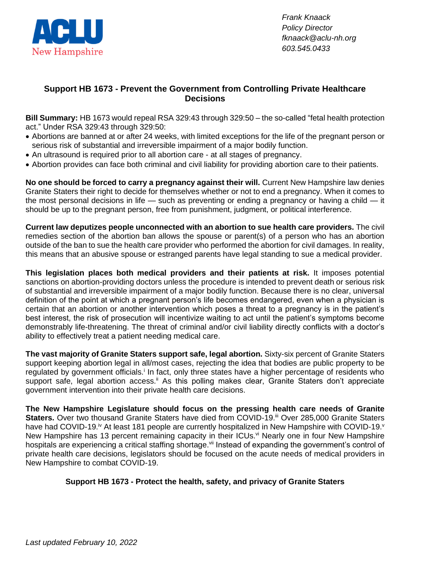

*Frank Knaack Policy Director fknaack@aclu-nh.org 603.545.0433*

## **Support HB 1673 - Prevent the Government from Controlling Private Healthcare Decisions**

**Bill Summary:** HB 1673 would repeal RSA 329:43 through 329:50 – the so-called "fetal health protection act." Under RSA 329:43 through 329:50:

- Abortions are banned at or after 24 weeks, with limited exceptions for the life of the pregnant person or serious risk of substantial and irreversible impairment of a major bodily function.
- An ultrasound is required prior to all abortion care at all stages of pregnancy.
- Abortion provides can face both criminal and civil liability for providing abortion care to their patients.

**No one should be forced to carry a pregnancy against their will.** Current New Hampshire law denies Granite Staters their right to decide for themselves whether or not to end a pregnancy. When it comes to the most personal decisions in life — such as preventing or ending a pregnancy or having a child — it should be up to the pregnant person, free from punishment, judgment, or political interference.

**Current law deputizes people unconnected with an abortion to sue health care providers.** The civil remedies section of the abortion ban allows the spouse or parent(s) of a person who has an abortion outside of the ban to sue the health care provider who performed the abortion for civil damages. In reality, this means that an abusive spouse or estranged parents have legal standing to sue a medical provider.

**This legislation places both medical providers and their patients at risk.** It imposes potential sanctions on abortion-providing doctors unless the procedure is intended to prevent death or serious risk of substantial and irreversible impairment of a major bodily function. Because there is no clear, universal definition of the point at which a pregnant person's life becomes endangered, even when a physician is certain that an abortion or another intervention which poses a threat to a pregnancy is in the patient's best interest, the risk of prosecution will incentivize waiting to act until the patient's symptoms become demonstrably life-threatening. The threat of criminal and/or civil liability directly conflicts with a doctor's ability to effectively treat a patient needing medical care.

**The vast majority of Granite Staters support safe, legal abortion.** Sixty-six percent of Granite Staters support keeping abortion legal in all/most cases, rejecting the idea that bodies are public property to be regulated by government officials.<sup>i</sup> In fact, only three states have a higher percentage of residents who support safe, legal abortion access.<sup>ii</sup> As this polling makes clear, Granite Staters don't appreciate government intervention into their private health care decisions.

**The New Hampshire Legislature should focus on the pressing health care needs of Granite**  Staters. Over two thousand Granite Staters have died from COVID-19.<sup>iii</sup> Over 285,000 Granite Staters have had COVID-19.<sup>iv</sup> At least 181 people are currently hospitalized in New Hampshire with COVID-19.<sup>v</sup> New Hampshire has 13 percent remaining capacity in their ICUs.<sup>vi</sup> Nearly one in four New Hampshire hospitals are experiencing a critical staffing shortage.<sup>vii</sup> Instead of expanding the government's control of private health care decisions, legislators should be focused on the acute needs of medical providers in New Hampshire to combat COVID-19.

## **Support HB 1673 - Protect the health, safety, and privacy of Granite Staters**